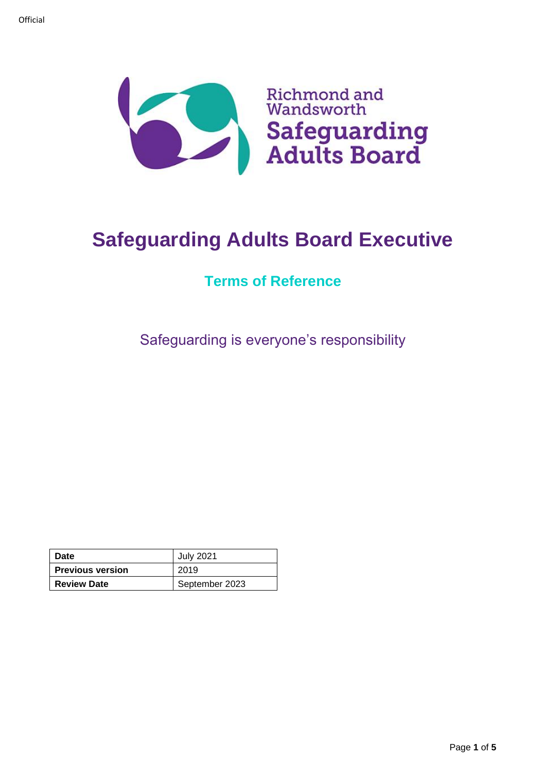

# **Safeguarding Adults Board Executive**

# **Terms of Reference**

Safeguarding is everyone's responsibility

| Date                    | <b>July 2021</b> |
|-------------------------|------------------|
| <b>Previous version</b> | 2019             |
| <b>Review Date</b>      | September 2023   |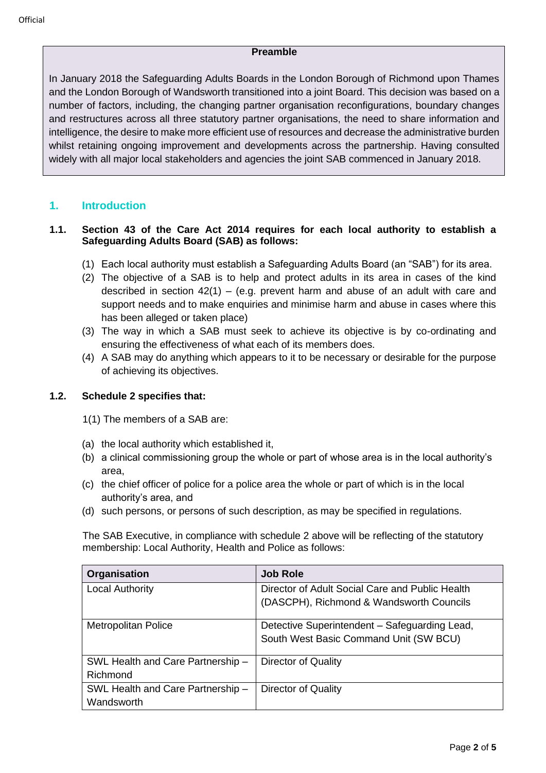#### **Preamble**

In January 2018 the Safeguarding Adults Boards in the London Borough of Richmond upon Thames and the London Borough of Wandsworth transitioned into a joint Board. This decision was based on a number of factors, including, the changing partner organisation reconfigurations, boundary changes and restructures across all three statutory partner organisations, the need to share information and intelligence, the desire to make more efficient use of resources and decrease the administrative burden whilst retaining ongoing improvement and developments across the partnership. Having consulted widely with all major local stakeholders and agencies the joint SAB commenced in January 2018.

#### **1. Introduction**

#### **1.1. Section 43 of the Care Act 2014 requires for each local authority to establish a Safeguarding Adults Board (SAB) as follows:**

- (1) Each local authority must establish a Safeguarding Adults Board (an "SAB") for its area.
- (2) The objective of a SAB is to help and protect adults in its area in cases of the kind described in section  $42(1) - (e.g.$  prevent harm and abuse of an adult with care and support needs and to make enquiries and minimise harm and abuse in cases where this has been alleged or taken place)
- (3) The way in which a SAB must seek to achieve its objective is by co-ordinating and ensuring the effectiveness of what each of its members does.
- (4) A SAB may do anything which appears to it to be necessary or desirable for the purpose of achieving its objectives.

#### **1.2. Schedule 2 specifies that:**

- 1(1) The members of a SAB are:
- (a) the local authority which established it,
- (b) a clinical commissioning group the whole or part of whose area is in the local authority's area,
- (c) the chief officer of police for a police area the whole or part of which is in the local authority's area, and
- (d) such persons, or persons of such description, as may be specified in regulations.

The SAB Executive, in compliance with schedule 2 above will be reflecting of the statutory membership: Local Authority, Health and Police as follows:

| Organisation                                    | <b>Job Role</b>                                                                             |
|-------------------------------------------------|---------------------------------------------------------------------------------------------|
| <b>Local Authority</b>                          | Director of Adult Social Care and Public Health<br>(DASCPH), Richmond & Wandsworth Councils |
|                                                 |                                                                                             |
| <b>Metropolitan Police</b>                      | Detective Superintendent - Safeguarding Lead,                                               |
|                                                 | South West Basic Command Unit (SW BCU)                                                      |
| SWL Health and Care Partnership -               | Director of Quality                                                                         |
| Richmond                                        |                                                                                             |
| SWL Health and Care Partnership -<br>Wandsworth | Director of Quality                                                                         |
|                                                 |                                                                                             |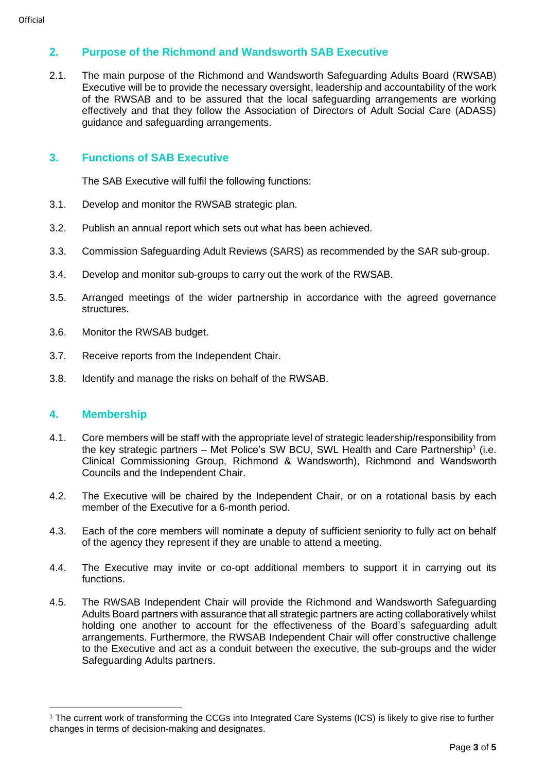## **2. Purpose of the Richmond and Wandsworth SAB Executive**

2.1. The main purpose of the Richmond and Wandsworth Safeguarding Adults Board (RWSAB) Executive will be to provide the necessary oversight, leadership and accountability of the work of the RWSAB and to be assured that the local safeguarding arrangements are working effectively and that they follow the Association of Directors of Adult Social Care (ADASS) guidance and safeguarding arrangements.

#### **3. Functions of SAB Executive**

The SAB Executive will fulfil the following functions:

- 3.1. Develop and monitor the RWSAB strategic plan.
- 3.2. Publish an annual report which sets out what has been achieved.
- 3.3. Commission Safeguarding Adult Reviews (SARS) as recommended by the SAR sub-group.
- 3.4. Develop and monitor sub-groups to carry out the work of the RWSAB.
- 3.5. Arranged meetings of the wider partnership in accordance with the agreed governance structures.
- 3.6. Monitor the RWSAB budget.
- 3.7. Receive reports from the Independent Chair.
- 3.8. Identify and manage the risks on behalf of the RWSAB.

### **4. Membership**

- 4.1. Core members will be staff with the appropriate level of strategic leadership/responsibility from the key strategic partners – Met Police's SW BCU, SWL Health and Care Partnership<sup>1</sup> (i.e. Clinical Commissioning Group, Richmond & Wandsworth), Richmond and Wandsworth Councils and the Independent Chair.
- 4.2. The Executive will be chaired by the Independent Chair, or on a rotational basis by each member of the Executive for a 6-month period.
- 4.3. Each of the core members will nominate a deputy of sufficient seniority to fully act on behalf of the agency they represent if they are unable to attend a meeting.
- 4.4. The Executive may invite or co-opt additional members to support it in carrying out its functions.
- 4.5. The RWSAB Independent Chair will provide the Richmond and Wandsworth Safeguarding Adults Board partners with assurance that all strategic partners are acting collaboratively whilst holding one another to account for the effectiveness of the Board's safeguarding adult arrangements. Furthermore, the RWSAB Independent Chair will offer constructive challenge to the Executive and act as a conduit between the executive, the sub-groups and the wider Safeguarding Adults partners.

<sup>&</sup>lt;sup>1</sup> The current work of transforming the CCGs into Integrated Care Systems (ICS) is likely to give rise to further changes in terms of decision-making and designates.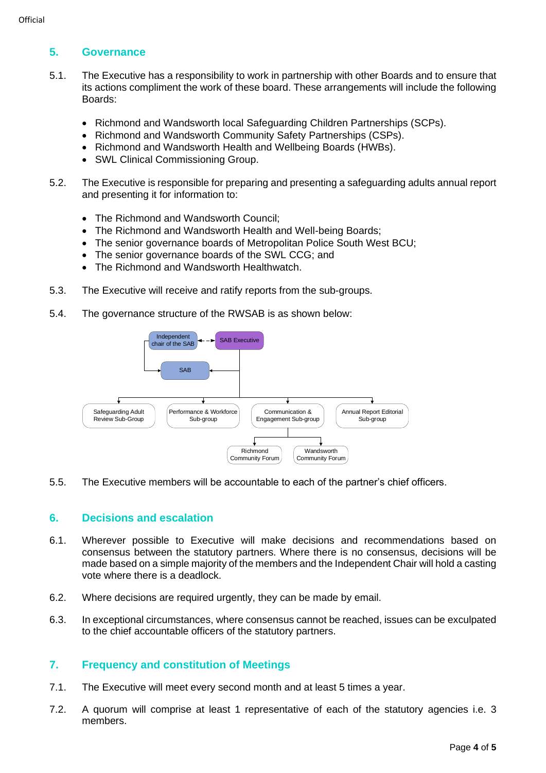### **5. Governance**

- 5.1. The Executive has a responsibility to work in partnership with other Boards and to ensure that its actions compliment the work of these board. These arrangements will include the following Boards:
	- Richmond and Wandsworth local Safeguarding Children Partnerships (SCPs).
	- Richmond and Wandsworth Community Safety Partnerships (CSPs).
	- Richmond and Wandsworth Health and Wellbeing Boards (HWBs).
	- SWL Clinical Commissioning Group.
- 5.2. The Executive is responsible for preparing and presenting a safeguarding adults annual report and presenting it for information to:
	- The Richmond and Wandsworth Council:
	- The Richmond and Wandsworth Health and Well-being Boards;
	- The senior governance boards of Metropolitan Police South West BCU;
	- The senior governance boards of the SWL CCG; and
	- The Richmond and Wandsworth Healthwatch.
- 5.3. The Executive will receive and ratify reports from the sub-groups.
- 5.4. The governance structure of the RWSAB is as shown below:



5.5. The Executive members will be accountable to each of the partner's chief officers.

#### **6. Decisions and escalation**

- 6.1. Wherever possible to Executive will make decisions and recommendations based on consensus between the statutory partners. Where there is no consensus, decisions will be made based on a simple majority of the members and the Independent Chair will hold a casting vote where there is a deadlock.
- 6.2. Where decisions are required urgently, they can be made by email.
- 6.3. In exceptional circumstances, where consensus cannot be reached, issues can be exculpated to the chief accountable officers of the statutory partners.

#### **7. Frequency and constitution of Meetings**

- 7.1. The Executive will meet every second month and at least 5 times a year.
- 7.2. A quorum will comprise at least 1 representative of each of the statutory agencies i.e. 3 members.